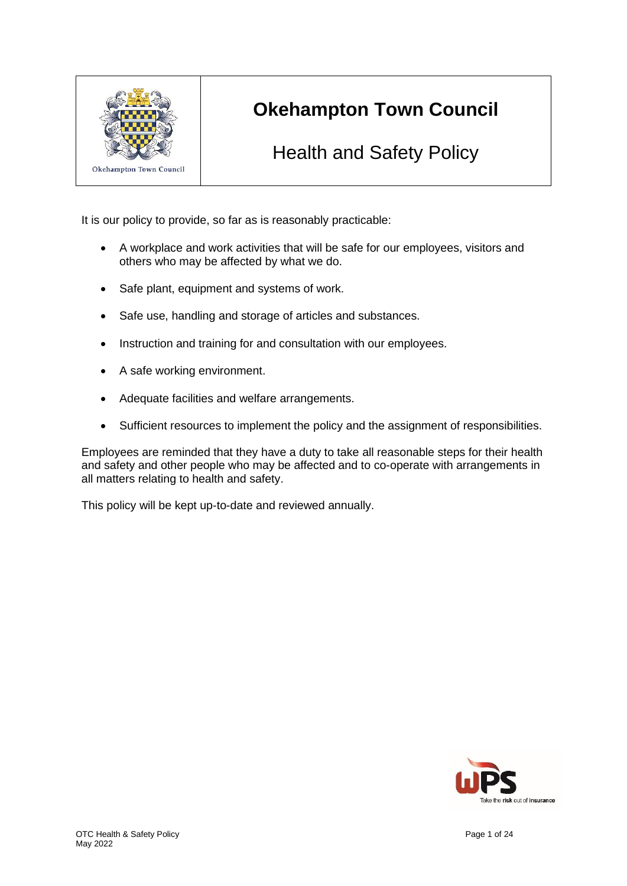

# **Okehampton Town Council**

# Health and Safety Policy

It is our policy to provide, so far as is reasonably practicable:

- A workplace and work activities that will be safe for our employees, visitors and others who may be affected by what we do.
- Safe plant, equipment and systems of work.
- Safe use, handling and storage of articles and substances.
- Instruction and training for and consultation with our employees.
- A safe working environment.
- Adequate facilities and welfare arrangements.
- Sufficient resources to implement the policy and the assignment of responsibilities.

Employees are reminded that they have a duty to take all reasonable steps for their health and safety and other people who may be affected and to co-operate with arrangements in all matters relating to health and safety.

This policy will be kept up-to-date and reviewed annually.

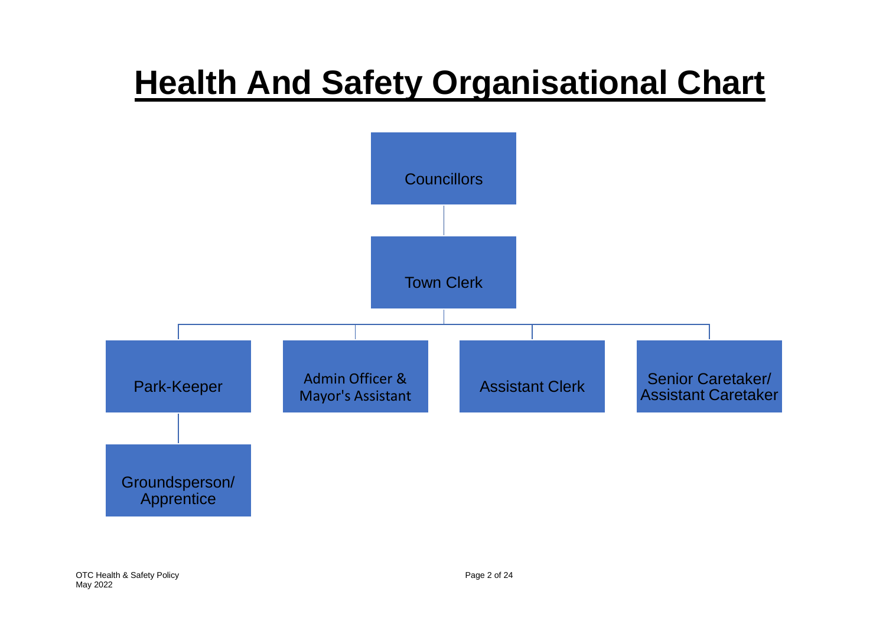# **Health And Safety Organisational Chart**

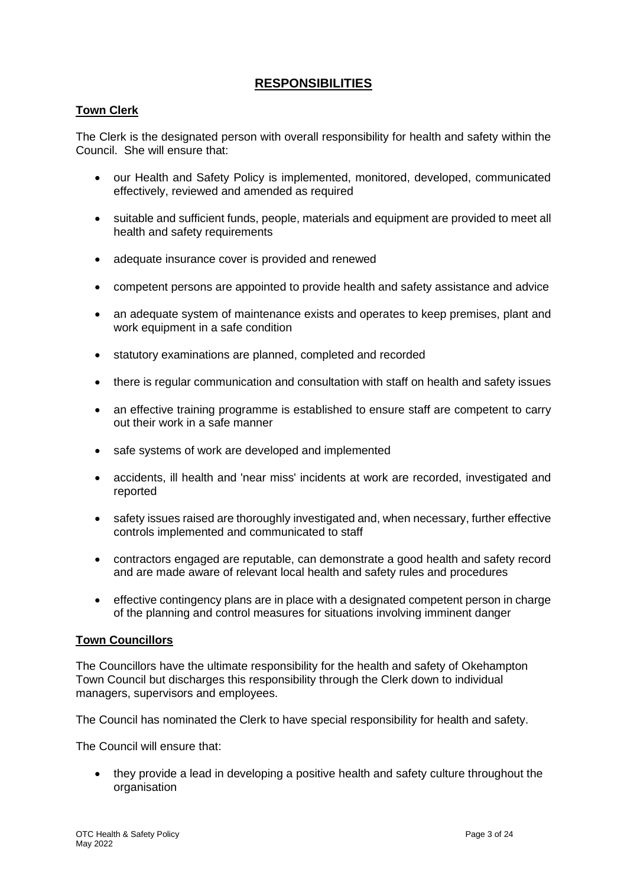## **RESPONSIBILITIES**

#### **Town Clerk**

The Clerk is the designated person with overall responsibility for health and safety within the Council. She will ensure that:

- our Health and Safety Policy is implemented, monitored, developed, communicated effectively, reviewed and amended as required
- suitable and sufficient funds, people, materials and equipment are provided to meet all health and safety requirements
- adequate insurance cover is provided and renewed
- competent persons are appointed to provide health and safety assistance and advice
- an adequate system of maintenance exists and operates to keep premises, plant and work equipment in a safe condition
- statutory examinations are planned, completed and recorded
- there is regular communication and consultation with staff on health and safety issues
- an effective training programme is established to ensure staff are competent to carry out their work in a safe manner
- safe systems of work are developed and implemented
- accidents, ill health and 'near miss' incidents at work are recorded, investigated and reported
- safety issues raised are thoroughly investigated and, when necessary, further effective controls implemented and communicated to staff
- contractors engaged are reputable, can demonstrate a good health and safety record and are made aware of relevant local health and safety rules and procedures
- effective contingency plans are in place with a designated competent person in charge of the planning and control measures for situations involving imminent danger

#### **Town Councillors**

The Councillors have the ultimate responsibility for the health and safety of Okehampton Town Council but discharges this responsibility through the Clerk down to individual managers, supervisors and employees.

The Council has nominated the Clerk to have special responsibility for health and safety.

The Council will ensure that:

• they provide a lead in developing a positive health and safety culture throughout the organisation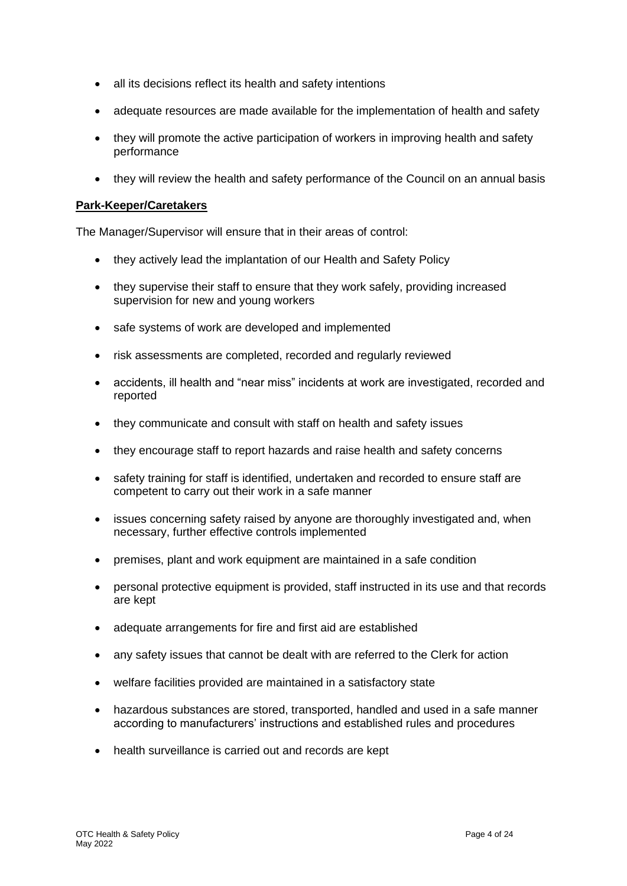- all its decisions reflect its health and safety intentions
- adequate resources are made available for the implementation of health and safety
- they will promote the active participation of workers in improving health and safety performance
- they will review the health and safety performance of the Council on an annual basis

#### **Park-Keeper/Caretakers**

The Manager/Supervisor will ensure that in their areas of control:

- they actively lead the implantation of our Health and Safety Policy
- they supervise their staff to ensure that they work safely, providing increased supervision for new and young workers
- safe systems of work are developed and implemented
- risk assessments are completed, recorded and regularly reviewed
- accidents, ill health and "near miss" incidents at work are investigated, recorded and reported
- they communicate and consult with staff on health and safety issues
- they encourage staff to report hazards and raise health and safety concerns
- safety training for staff is identified, undertaken and recorded to ensure staff are competent to carry out their work in a safe manner
- issues concerning safety raised by anyone are thoroughly investigated and, when necessary, further effective controls implemented
- premises, plant and work equipment are maintained in a safe condition
- personal protective equipment is provided, staff instructed in its use and that records are kept
- adequate arrangements for fire and first aid are established
- any safety issues that cannot be dealt with are referred to the Clerk for action
- welfare facilities provided are maintained in a satisfactory state
- hazardous substances are stored, transported, handled and used in a safe manner according to manufacturers' instructions and established rules and procedures
- health surveillance is carried out and records are kept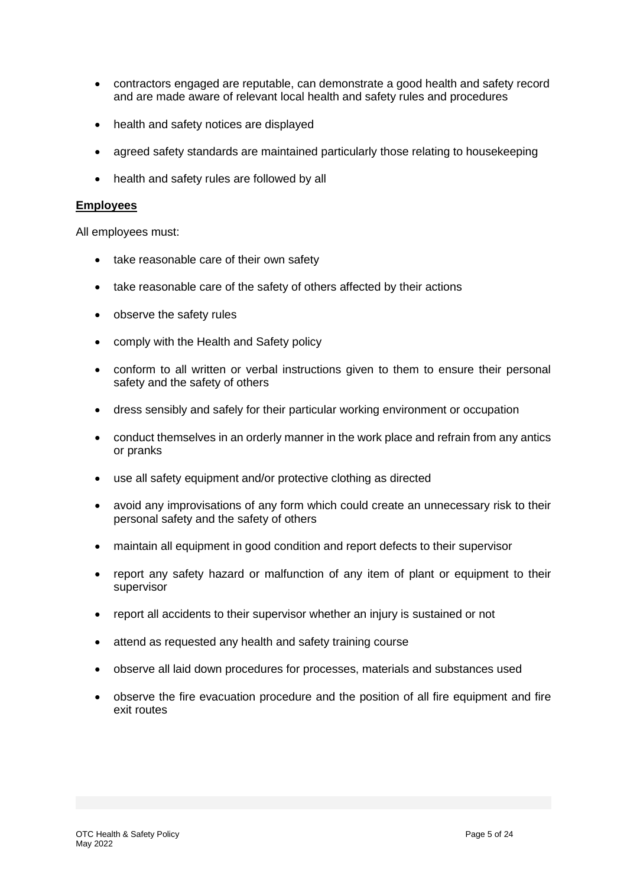- contractors engaged are reputable, can demonstrate a good health and safety record and are made aware of relevant local health and safety rules and procedures
- health and safety notices are displayed
- agreed safety standards are maintained particularly those relating to housekeeping
- health and safety rules are followed by all

#### **Employees**

All employees must:

- take reasonable care of their own safety
- take reasonable care of the safety of others affected by their actions
- observe the safety rules
- comply with the Health and Safety policy
- conform to all written or verbal instructions given to them to ensure their personal safety and the safety of others
- dress sensibly and safely for their particular working environment or occupation
- conduct themselves in an orderly manner in the work place and refrain from any antics or pranks
- use all safety equipment and/or protective clothing as directed
- avoid any improvisations of any form which could create an unnecessary risk to their personal safety and the safety of others
- maintain all equipment in good condition and report defects to their supervisor
- report any safety hazard or malfunction of any item of plant or equipment to their supervisor
- report all accidents to their supervisor whether an injury is sustained or not
- attend as requested any health and safety training course
- observe all laid down procedures for processes, materials and substances used
- observe the fire evacuation procedure and the position of all fire equipment and fire exit routes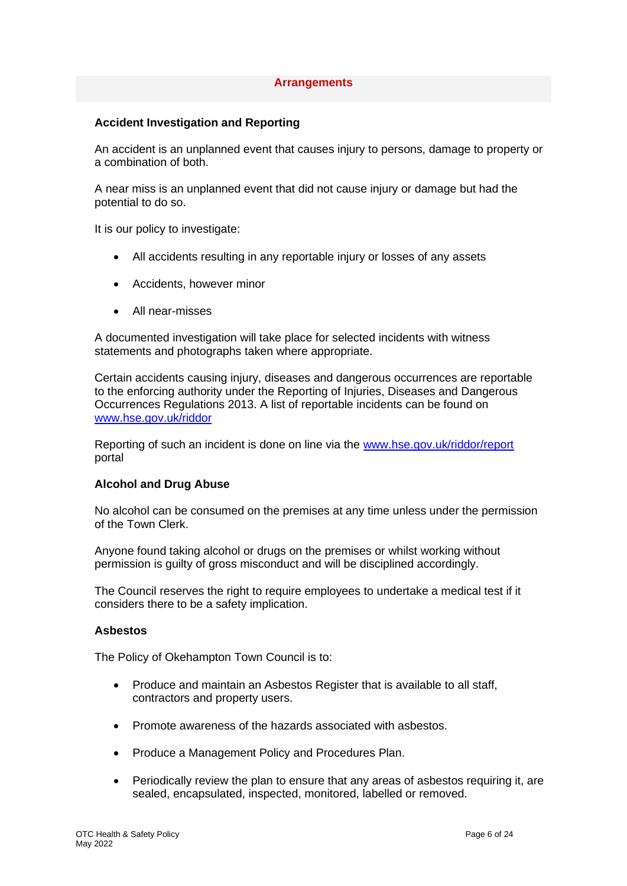#### **Arrangements**

#### **Accident Investigation and Reporting**

An accident is an unplanned event that causes injury to persons, damage to property or a combination of both.

A near miss is an unplanned event that did not cause injury or damage but had the potential to do so.

It is our policy to investigate:

- All accidents resulting in any reportable injury or losses of any assets
- Accidents, however minor
- All near-misses

A documented investigation will take place for selected incidents with witness statements and photographs taken where appropriate.

Certain accidents causing injury, diseases and dangerous occurrences are reportable to the enforcing authority under the Reporting of Injuries, Diseases and Dangerous Occurrences Regulations 2013. A list of reportable incidents can be found on [www.hse.gov.uk/riddor](http://www.hse.gov.uk/riddor)

Reporting of such an incident is done on line via the [www.hse.gov.uk/riddor/report](http://www.hse.gov.uk/riddor/report) portal

#### **Alcohol and Drug Abuse**

No alcohol can be consumed on the premises at any time unless under the permission of the Town Clerk.

Anyone found taking alcohol or drugs on the premises or whilst working without permission is guilty of gross misconduct and will be disciplined accordingly.

The Council reserves the right to require employees to undertake a medical test if it considers there to be a safety implication.

#### **Asbestos**

The Policy of Okehampton Town Council is to:

- Produce and maintain an Asbestos Register that is available to all staff, contractors and property users.
- Promote awareness of the hazards associated with asbestos.
- Produce a Management Policy and Procedures Plan.
- Periodically review the plan to ensure that any areas of asbestos requiring it, are sealed, encapsulated, inspected, monitored, labelled or removed.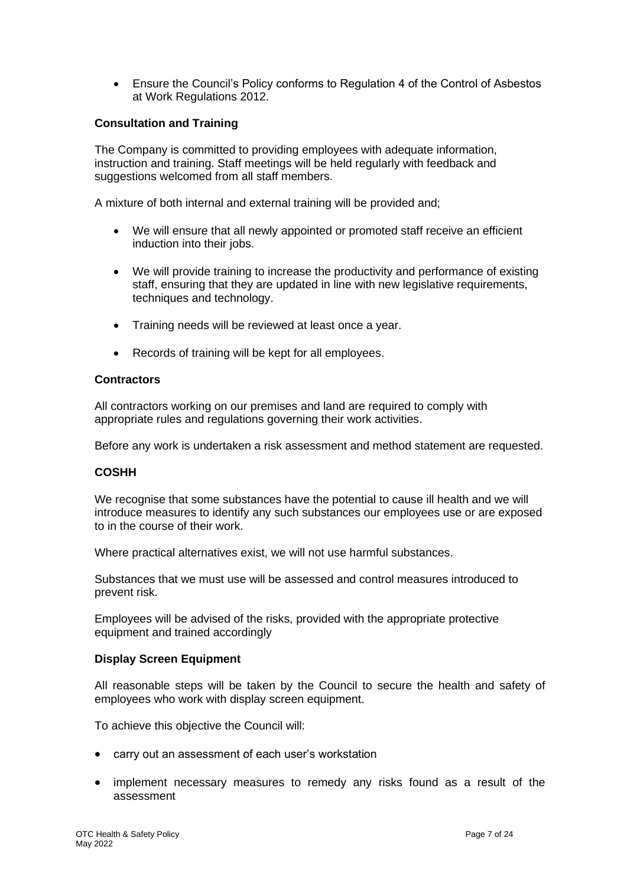• Ensure the Council's Policy conforms to Regulation 4 of the Control of Asbestos at Work Regulations 2012.

#### **Consultation and Training**

The Company is committed to providing employees with adequate information, instruction and training. Staff meetings will be held regularly with feedback and suggestions welcomed from all staff members.

A mixture of both internal and external training will be provided and;

- We will ensure that all newly appointed or promoted staff receive an efficient induction into their jobs.
- We will provide training to increase the productivity and performance of existing staff, ensuring that they are updated in line with new legislative requirements, techniques and technology.
- Training needs will be reviewed at least once a year.
- Records of training will be kept for all employees.

#### **Contractors**

All contractors working on our premises and land are required to comply with appropriate rules and regulations governing their work activities.

Before any work is undertaken a risk assessment and method statement are requested.

#### **COSHH**

We recognise that some substances have the potential to cause ill health and we will introduce measures to identify any such substances our employees use or are exposed to in the course of their work.

Where practical alternatives exist, we will not use harmful substances.

Substances that we must use will be assessed and control measures introduced to prevent risk.

Employees will be advised of the risks, provided with the appropriate protective equipment and trained accordingly

#### **Display Screen Equipment**

All reasonable steps will be taken by the Council to secure the health and safety of employees who work with display screen equipment.

To achieve this objective the Council will:

- carry out an assessment of each user's workstation
- implement necessary measures to remedy any risks found as a result of the assessment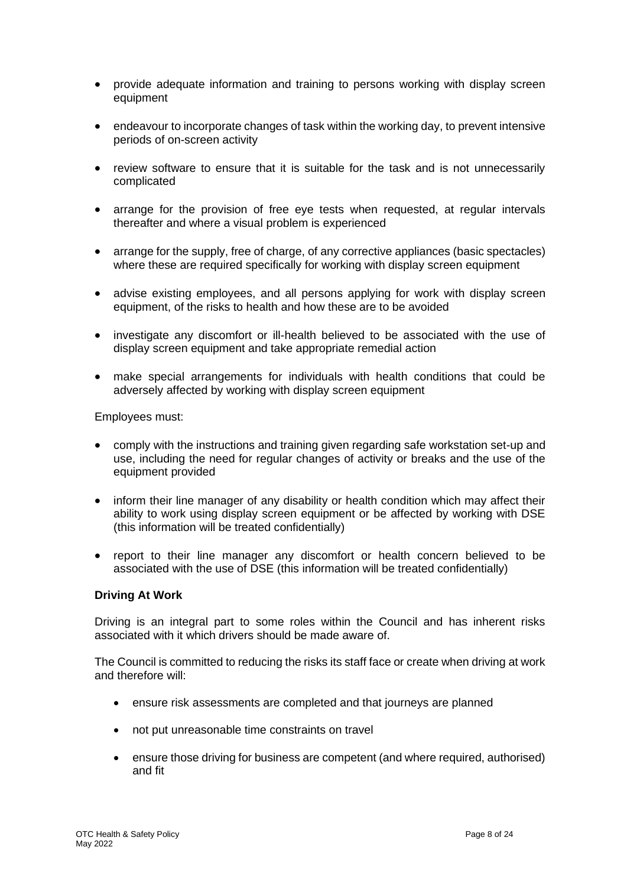- provide adequate information and training to persons working with display screen equipment
- endeavour to incorporate changes of task within the working day, to prevent intensive periods of on-screen activity
- review software to ensure that it is suitable for the task and is not unnecessarily complicated
- arrange for the provision of free eye tests when requested, at regular intervals thereafter and where a visual problem is experienced
- arrange for the supply, free of charge, of any corrective appliances (basic spectacles) where these are required specifically for working with display screen equipment
- advise existing employees, and all persons applying for work with display screen equipment, of the risks to health and how these are to be avoided
- investigate any discomfort or ill-health believed to be associated with the use of display screen equipment and take appropriate remedial action
- make special arrangements for individuals with health conditions that could be adversely affected by working with display screen equipment

#### Employees must:

- comply with the instructions and training given regarding safe workstation set-up and use, including the need for regular changes of activity or breaks and the use of the equipment provided
- inform their line manager of any disability or health condition which may affect their ability to work using display screen equipment or be affected by working with DSE (this information will be treated confidentially)
- report to their line manager any discomfort or health concern believed to be associated with the use of DSE (this information will be treated confidentially)

#### **Driving At Work**

Driving is an integral part to some roles within the Council and has inherent risks associated with it which drivers should be made aware of.

The Council is committed to reducing the risks its staff face or create when driving at work and therefore will:

- ensure risk assessments are completed and that journeys are planned
- not put unreasonable time constraints on travel
- ensure those driving for business are competent (and where required, authorised) and fit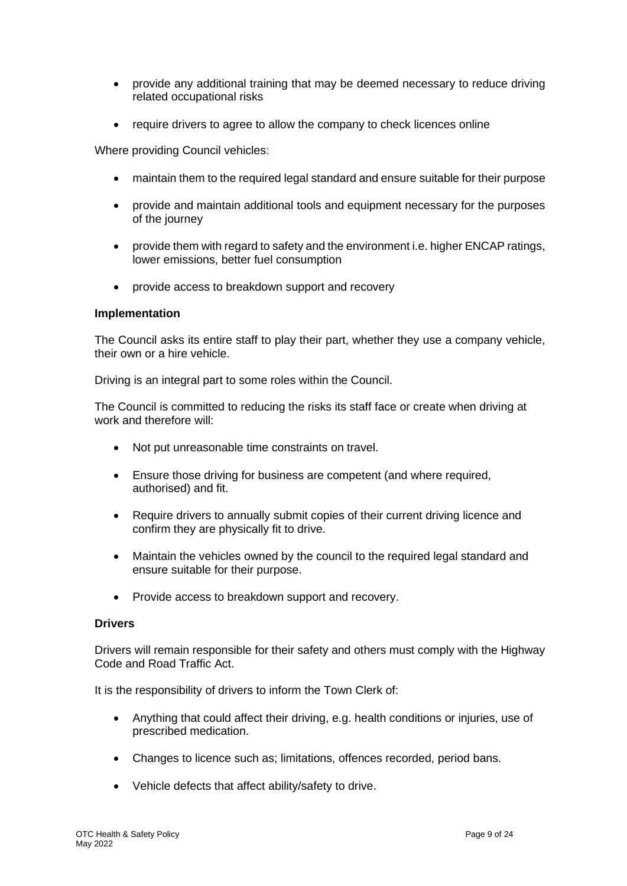- provide any additional training that may be deemed necessary to reduce driving related occupational risks
- require drivers to agree to allow the company to check licences online

Where providing Council vehicles:

- maintain them to the required legal standard and ensure suitable for their purpose
- provide and maintain additional tools and equipment necessary for the purposes of the journey
- provide them with regard to safety and the environment i.e. higher ENCAP ratings, lower emissions, better fuel consumption
- provide access to breakdown support and recovery

#### **Implementation**

The Council asks its entire staff to play their part, whether they use a company vehicle, their own or a hire vehicle.

Driving is an integral part to some roles within the Council.

The Council is committed to reducing the risks its staff face or create when driving at work and therefore will:

- Not put unreasonable time constraints on travel.
- Ensure those driving for business are competent (and where required, authorised) and fit.
- Require drivers to annually submit copies of their current driving licence and confirm they are physically fit to drive.
- Maintain the vehicles owned by the council to the required legal standard and ensure suitable for their purpose.
- Provide access to breakdown support and recovery.

#### **Drivers**

Drivers will remain responsible for their safety and others must comply with the Highway Code and Road Traffic Act.

It is the responsibility of drivers to inform the Town Clerk of:

- Anything that could affect their driving, e.g. health conditions or injuries, use of prescribed medication.
- Changes to licence such as: limitations, offences recorded, period bans.
- Vehicle defects that affect ability/safety to drive.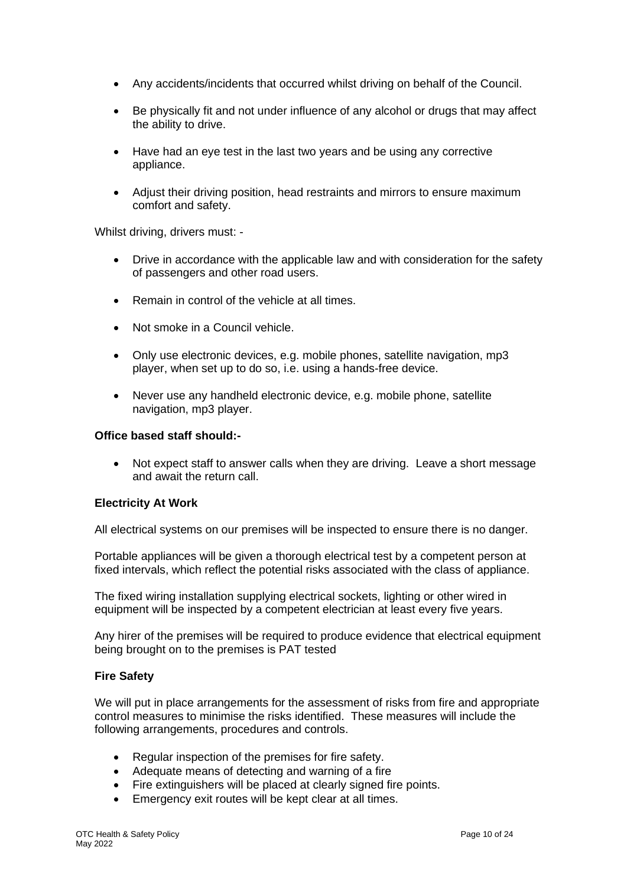- Any accidents/incidents that occurred whilst driving on behalf of the Council.
- Be physically fit and not under influence of any alcohol or drugs that may affect the ability to drive.
- Have had an eye test in the last two years and be using any corrective appliance.
- Adjust their driving position, head restraints and mirrors to ensure maximum comfort and safety.

Whilst driving, drivers must: -

- Drive in accordance with the applicable law and with consideration for the safety of passengers and other road users.
- Remain in control of the vehicle at all times.
- Not smoke in a Council vehicle.
- Only use electronic devices, e.g. mobile phones, satellite navigation, mp3 player, when set up to do so, i.e. using a hands-free device.
- Never use any handheld electronic device, e.g. mobile phone, satellite navigation, mp3 player.

#### **Office based staff should:-**

• Not expect staff to answer calls when they are driving. Leave a short message and await the return call.

#### **Electricity At Work**

All electrical systems on our premises will be inspected to ensure there is no danger.

Portable appliances will be given a thorough electrical test by a competent person at fixed intervals, which reflect the potential risks associated with the class of appliance.

The fixed wiring installation supplying electrical sockets, lighting or other wired in equipment will be inspected by a competent electrician at least every five years.

Any hirer of the premises will be required to produce evidence that electrical equipment being brought on to the premises is PAT tested

#### **Fire Safety**

We will put in place arrangements for the assessment of risks from fire and appropriate control measures to minimise the risks identified. These measures will include the following arrangements, procedures and controls.

- Regular inspection of the premises for fire safety.
- Adequate means of detecting and warning of a fire
- Fire extinguishers will be placed at clearly signed fire points.
- Emergency exit routes will be kept clear at all times.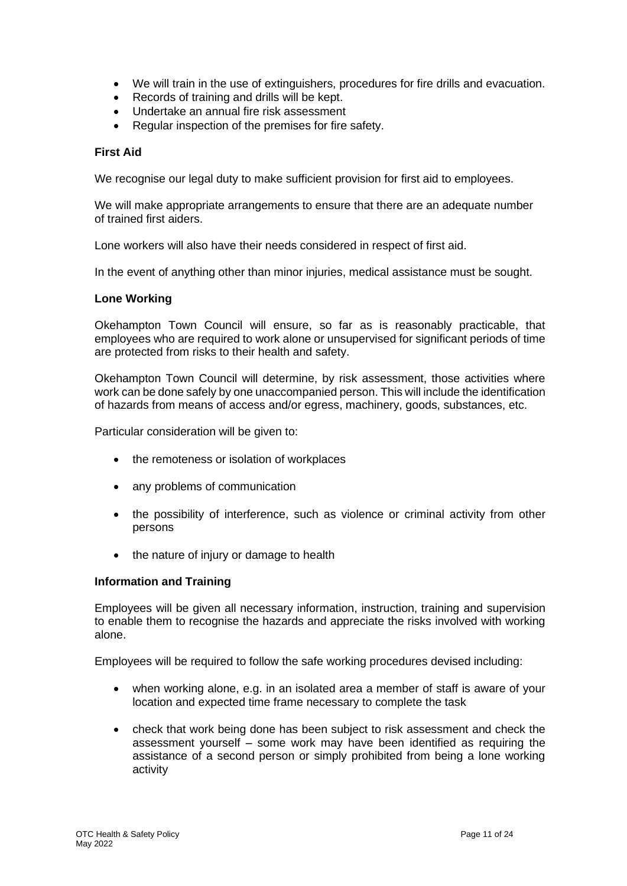- We will train in the use of extinguishers, procedures for fire drills and evacuation.
- Records of training and drills will be kept.
- Undertake an annual fire risk assessment
- Regular inspection of the premises for fire safety.

#### **First Aid**

We recognise our legal duty to make sufficient provision for first aid to employees.

We will make appropriate arrangements to ensure that there are an adequate number of trained first aiders.

Lone workers will also have their needs considered in respect of first aid.

In the event of anything other than minor injuries, medical assistance must be sought.

#### **Lone Working**

Okehampton Town Council will ensure, so far as is reasonably practicable, that employees who are required to work alone or unsupervised for significant periods of time are protected from risks to their health and safety.

Okehampton Town Council will determine, by risk assessment, those activities where work can be done safely by one unaccompanied person. This will include the identification of hazards from means of access and/or egress, machinery, goods, substances, etc.

Particular consideration will be given to:

- the remoteness or isolation of workplaces
- any problems of communication
- the possibility of interference, such as violence or criminal activity from other persons
- the nature of injury or damage to health

#### **Information and Training**

Employees will be given all necessary information, instruction, training and supervision to enable them to recognise the hazards and appreciate the risks involved with working alone.

Employees will be required to follow the safe working procedures devised including:

- when working alone, e.g. in an isolated area a member of staff is aware of your location and expected time frame necessary to complete the task
- check that work being done has been subject to risk assessment and check the assessment yourself – some work may have been identified as requiring the assistance of a second person or simply prohibited from being a lone working activity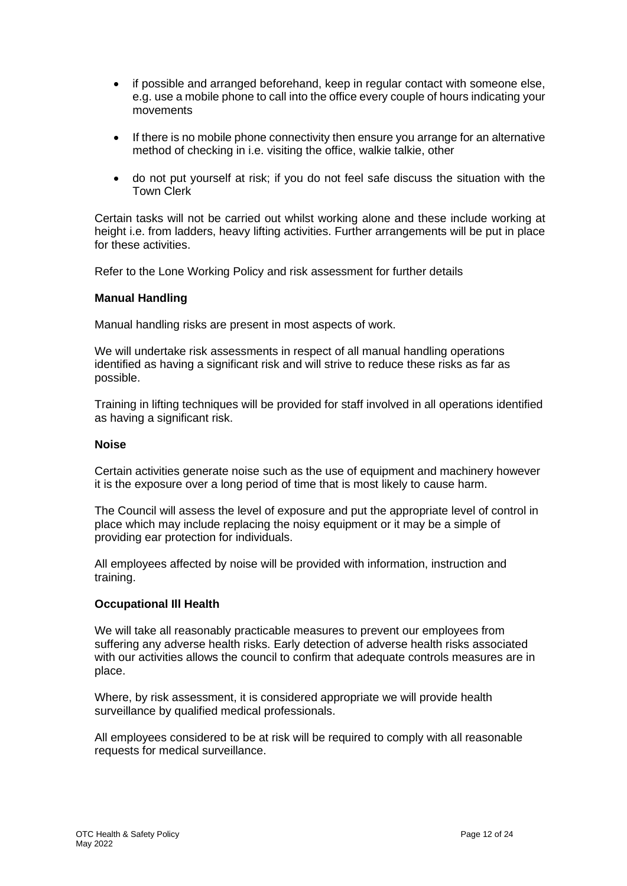- if possible and arranged beforehand, keep in regular contact with someone else, e.g. use a mobile phone to call into the office every couple of hours indicating your movements
- If there is no mobile phone connectivity then ensure you arrange for an alternative method of checking in i.e. visiting the office, walkie talkie, other
- do not put yourself at risk; if you do not feel safe discuss the situation with the Town Clerk

Certain tasks will not be carried out whilst working alone and these include working at height i.e. from ladders, heavy lifting activities. Further arrangements will be put in place for these activities.

Refer to the Lone Working Policy and risk assessment for further details

#### **Manual Handling**

Manual handling risks are present in most aspects of work.

We will undertake risk assessments in respect of all manual handling operations identified as having a significant risk and will strive to reduce these risks as far as possible.

Training in lifting techniques will be provided for staff involved in all operations identified as having a significant risk.

#### **Noise**

Certain activities generate noise such as the use of equipment and machinery however it is the exposure over a long period of time that is most likely to cause harm.

The Council will assess the level of exposure and put the appropriate level of control in place which may include replacing the noisy equipment or it may be a simple of providing ear protection for individuals.

All employees affected by noise will be provided with information, instruction and training.

#### **Occupational Ill Health**

We will take all reasonably practicable measures to prevent our employees from suffering any adverse health risks. Early detection of adverse health risks associated with our activities allows the council to confirm that adequate controls measures are in place.

Where, by risk assessment, it is considered appropriate we will provide health surveillance by qualified medical professionals.

All employees considered to be at risk will be required to comply with all reasonable requests for medical surveillance.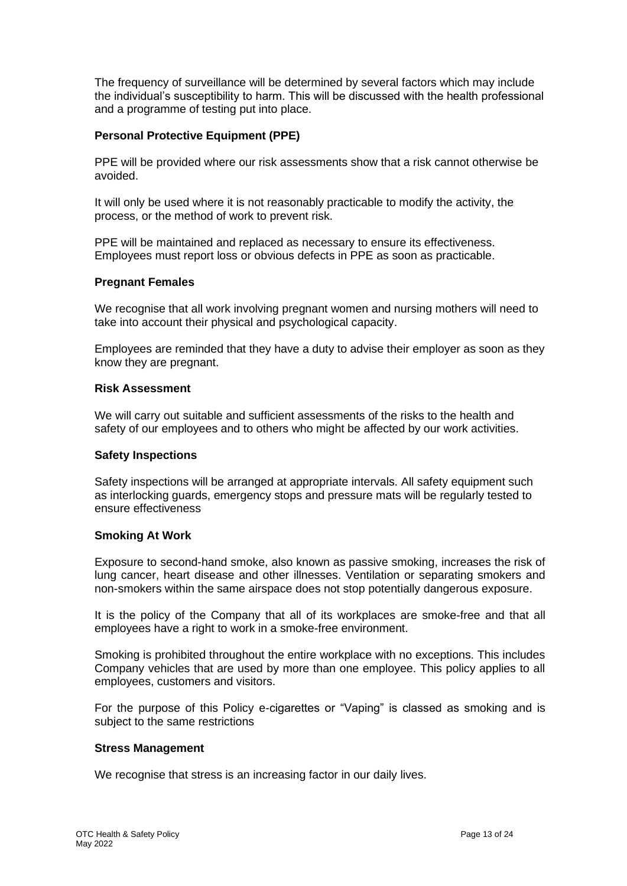The frequency of surveillance will be determined by several factors which may include the individual's susceptibility to harm. This will be discussed with the health professional and a programme of testing put into place.

#### **Personal Protective Equipment (PPE)**

PPE will be provided where our risk assessments show that a risk cannot otherwise be avoided.

It will only be used where it is not reasonably practicable to modify the activity, the process, or the method of work to prevent risk.

PPE will be maintained and replaced as necessary to ensure its effectiveness. Employees must report loss or obvious defects in PPE as soon as practicable.

#### **Pregnant Females**

We recognise that all work involving pregnant women and nursing mothers will need to take into account their physical and psychological capacity.

Employees are reminded that they have a duty to advise their employer as soon as they know they are pregnant.

#### **Risk Assessment**

We will carry out suitable and sufficient assessments of the risks to the health and safety of our employees and to others who might be affected by our work activities.

#### **Safety Inspections**

Safety inspections will be arranged at appropriate intervals. All safety equipment such as interlocking guards, emergency stops and pressure mats will be regularly tested to ensure effectiveness

#### **Smoking At Work**

Exposure to second-hand smoke, also known as passive smoking, increases the risk of lung cancer, heart disease and other illnesses. Ventilation or separating smokers and non-smokers within the same airspace does not stop potentially dangerous exposure.

It is the policy of the Company that all of its workplaces are smoke-free and that all employees have a right to work in a smoke-free environment.

Smoking is prohibited throughout the entire workplace with no exceptions. This includes Company vehicles that are used by more than one employee. This policy applies to all employees, customers and visitors.

For the purpose of this Policy e-cigarettes or "Vaping" is classed as smoking and is subject to the same restrictions

#### **Stress Management**

We recognise that stress is an increasing factor in our daily lives.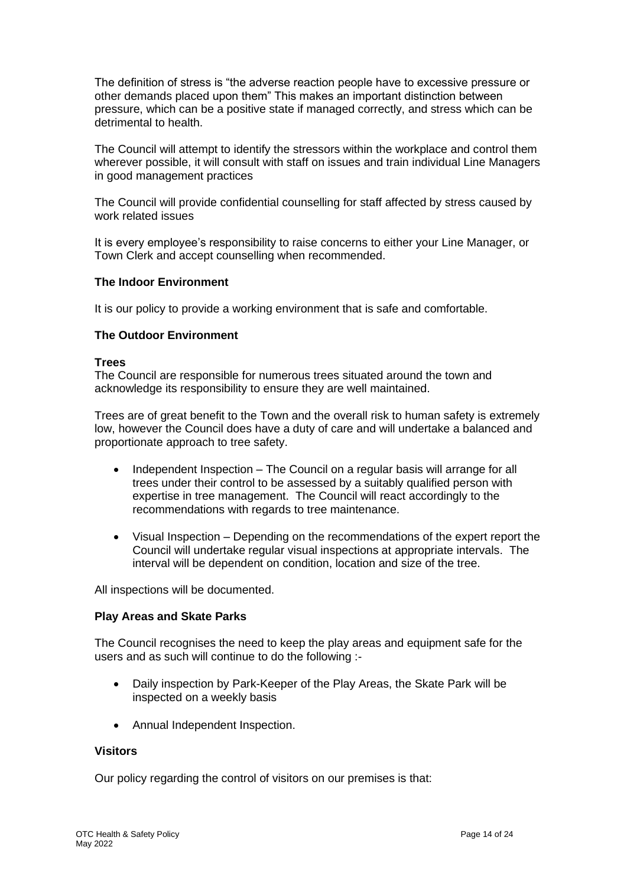The definition of stress is "the adverse reaction people have to excessive pressure or other demands placed upon them" This makes an important distinction between pressure, which can be a positive state if managed correctly, and stress which can be detrimental to health.

The Council will attempt to identify the stressors within the workplace and control them wherever possible, it will consult with staff on issues and train individual Line Managers in good management practices

The Council will provide confidential counselling for staff affected by stress caused by work related issues

It is every employee's responsibility to raise concerns to either your Line Manager, or Town Clerk and accept counselling when recommended.

#### **The Indoor Environment**

It is our policy to provide a working environment that is safe and comfortable.

#### **The Outdoor Environment**

#### **Trees**

The Council are responsible for numerous trees situated around the town and acknowledge its responsibility to ensure they are well maintained.

Trees are of great benefit to the Town and the overall risk to human safety is extremely low, however the Council does have a duty of care and will undertake a balanced and proportionate approach to tree safety.

- Independent Inspection The Council on a regular basis will arrange for all trees under their control to be assessed by a suitably qualified person with expertise in tree management. The Council will react accordingly to the recommendations with regards to tree maintenance.
- Visual Inspection Depending on the recommendations of the expert report the Council will undertake regular visual inspections at appropriate intervals. The interval will be dependent on condition, location and size of the tree.

All inspections will be documented.

#### **Play Areas and Skate Parks**

The Council recognises the need to keep the play areas and equipment safe for the users and as such will continue to do the following :-

- Daily inspection by Park-Keeper of the Play Areas, the Skate Park will be inspected on a weekly basis
- Annual Independent Inspection.

#### **Visitors**

Our policy regarding the control of visitors on our premises is that: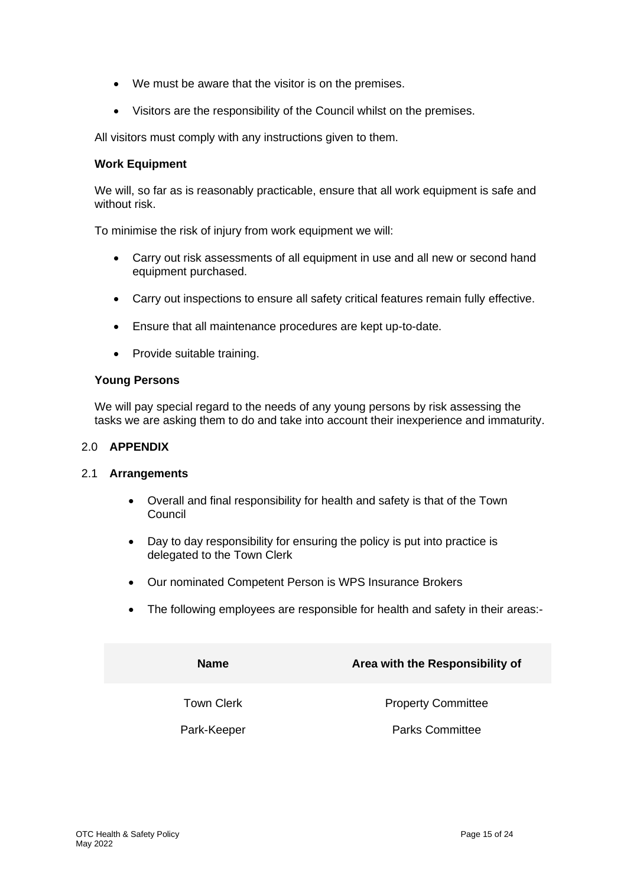- We must be aware that the visitor is on the premises.
- Visitors are the responsibility of the Council whilst on the premises.

All visitors must comply with any instructions given to them.

#### **Work Equipment**

We will, so far as is reasonably practicable, ensure that all work equipment is safe and without risk.

To minimise the risk of injury from work equipment we will:

- Carry out risk assessments of all equipment in use and all new or second hand equipment purchased.
- Carry out inspections to ensure all safety critical features remain fully effective.
- Ensure that all maintenance procedures are kept up-to-date.
- Provide suitable training.

#### **Young Persons**

We will pay special regard to the needs of any young persons by risk assessing the tasks we are asking them to do and take into account their inexperience and immaturity.

#### 2.0 **APPENDIX**

#### 2.1 **Arrangements**

- Overall and final responsibility for health and safety is that of the Town Council
- Day to day responsibility for ensuring the policy is put into practice is delegated to the Town Clerk
- Our nominated Competent Person is WPS Insurance Brokers
- The following employees are responsible for health and safety in their areas:-

| <b>Name</b>       | Area with the Responsibility of |
|-------------------|---------------------------------|
| <b>Town Clerk</b> | <b>Property Committee</b>       |
| Park-Keeper       | <b>Parks Committee</b>          |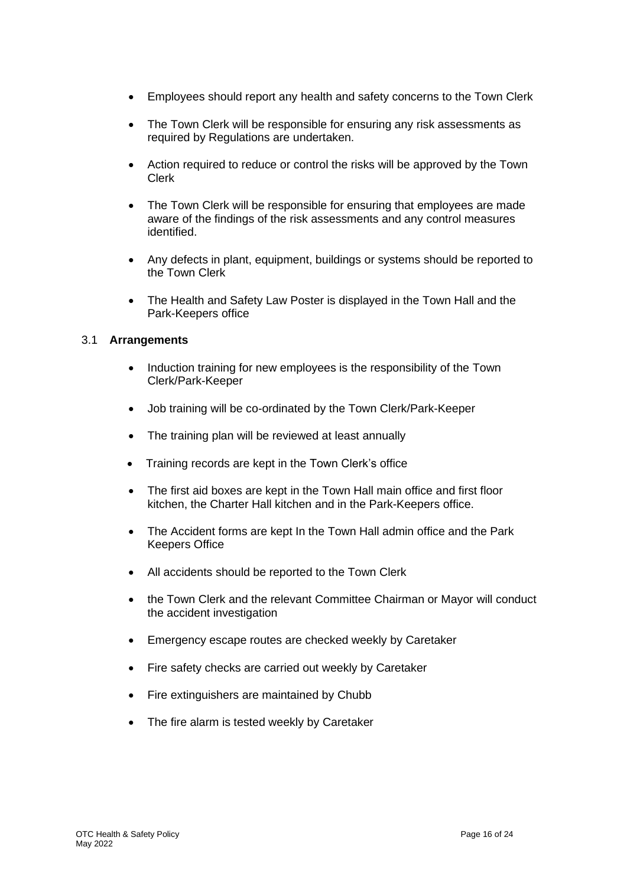- Employees should report any health and safety concerns to the Town Clerk
- The Town Clerk will be responsible for ensuring any risk assessments as required by Regulations are undertaken.
- Action required to reduce or control the risks will be approved by the Town Clerk
- The Town Clerk will be responsible for ensuring that employees are made aware of the findings of the risk assessments and any control measures identified.
- Any defects in plant, equipment, buildings or systems should be reported to the Town Clerk
- The Health and Safety Law Poster is displayed in the Town Hall and the Park-Keepers office

#### 3.1 **Arrangements**

- Induction training for new employees is the responsibility of the Town Clerk/Park-Keeper
- Job training will be co-ordinated by the Town Clerk/Park-Keeper
- The training plan will be reviewed at least annually
- Training records are kept in the Town Clerk's office
- The first aid boxes are kept in the Town Hall main office and first floor kitchen, the Charter Hall kitchen and in the Park-Keepers office.
- The Accident forms are kept In the Town Hall admin office and the Park Keepers Office
- All accidents should be reported to the Town Clerk
- the Town Clerk and the relevant Committee Chairman or Mayor will conduct the accident investigation
- Emergency escape routes are checked weekly by Caretaker
- Fire safety checks are carried out weekly by Caretaker
- Fire extinguishers are maintained by Chubb
- The fire alarm is tested weekly by Caretaker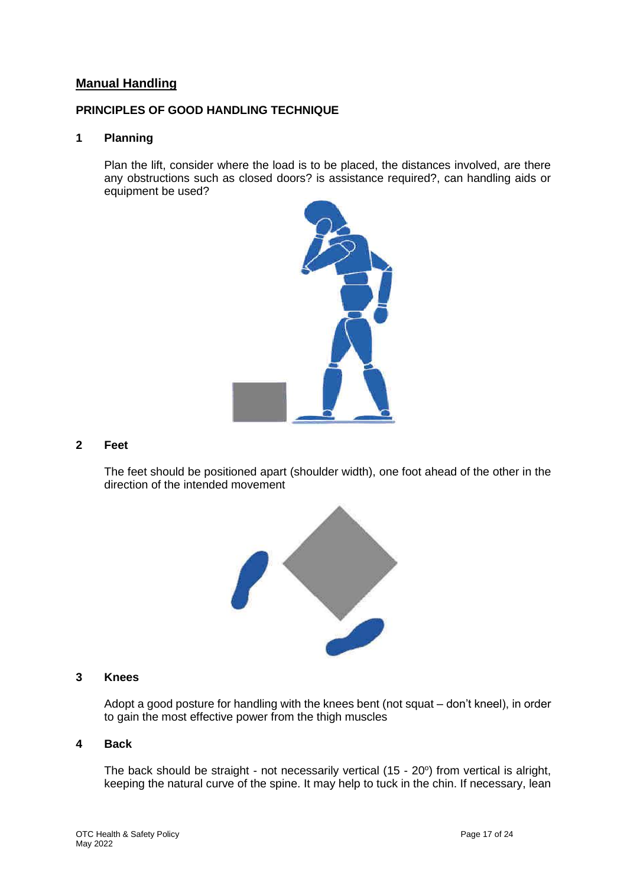#### **Manual Handling**

#### **PRINCIPLES OF GOOD HANDLING TECHNIQUE**

#### **1 Planning**

Plan the lift, consider where the load is to be placed, the distances involved, are there any obstructions such as closed doors? is assistance required?, can handling aids or equipment be used?



#### **2 Feet**

The feet should be positioned apart (shoulder width), one foot ahead of the other in the direction of the intended movement



#### **3 Knees**

Adopt a good posture for handling with the knees bent (not squat – don't kneel), in order to gain the most effective power from the thigh muscles

#### **4 Back**

The back should be straight - not necessarily vertical  $(15 - 20^{\circ})$  from vertical is alright, keeping the natural curve of the spine. It may help to tuck in the chin. If necessary, lean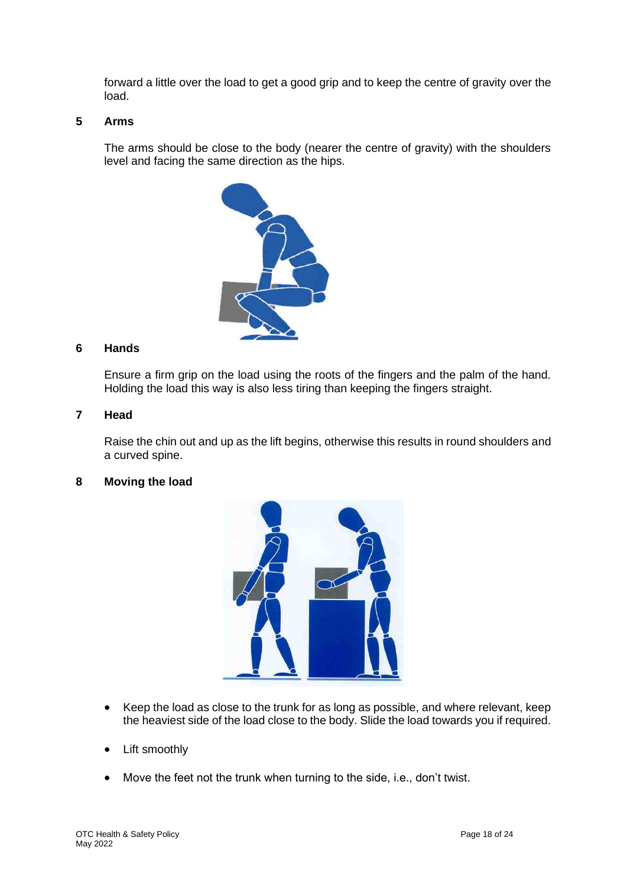forward a little over the load to get a good grip and to keep the centre of gravity over the load.

#### **5 Arms**

The arms should be close to the body (nearer the centre of gravity) with the shoulders level and facing the same direction as the hips.



#### **6 Hands**

Ensure a firm grip on the load using the roots of the fingers and the palm of the hand. Holding the load this way is also less tiring than keeping the fingers straight.

#### **7 Head**

Raise the chin out and up as the lift begins, otherwise this results in round shoulders and a curved spine.

#### **8 Moving the load**



- Keep the load as close to the trunk for as long as possible, and where relevant, keep the heaviest side of the load close to the body. Slide the load towards you if required.
- Lift smoothly
- Move the feet not the trunk when turning to the side, i.e., don't twist.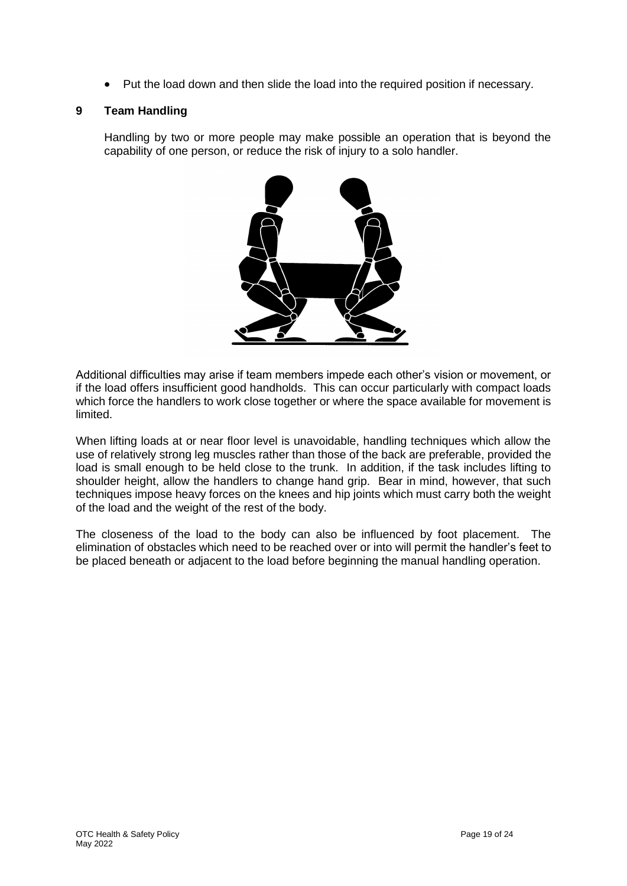• Put the load down and then slide the load into the required position if necessary.

#### **9 Team Handling**

Handling by two or more people may make possible an operation that is beyond the capability of one person, or reduce the risk of injury to a solo handler.



Additional difficulties may arise if team members impede each other's vision or movement, or if the load offers insufficient good handholds. This can occur particularly with compact loads which force the handlers to work close together or where the space available for movement is limited.

When lifting loads at or near floor level is unavoidable, handling techniques which allow the use of relatively strong leg muscles rather than those of the back are preferable, provided the load is small enough to be held close to the trunk. In addition, if the task includes lifting to shoulder height, allow the handlers to change hand grip. Bear in mind, however, that such techniques impose heavy forces on the knees and hip joints which must carry both the weight of the load and the weight of the rest of the body.

The closeness of the load to the body can also be influenced by foot placement. The elimination of obstacles which need to be reached over or into will permit the handler's feet to be placed beneath or adjacent to the load before beginning the manual handling operation.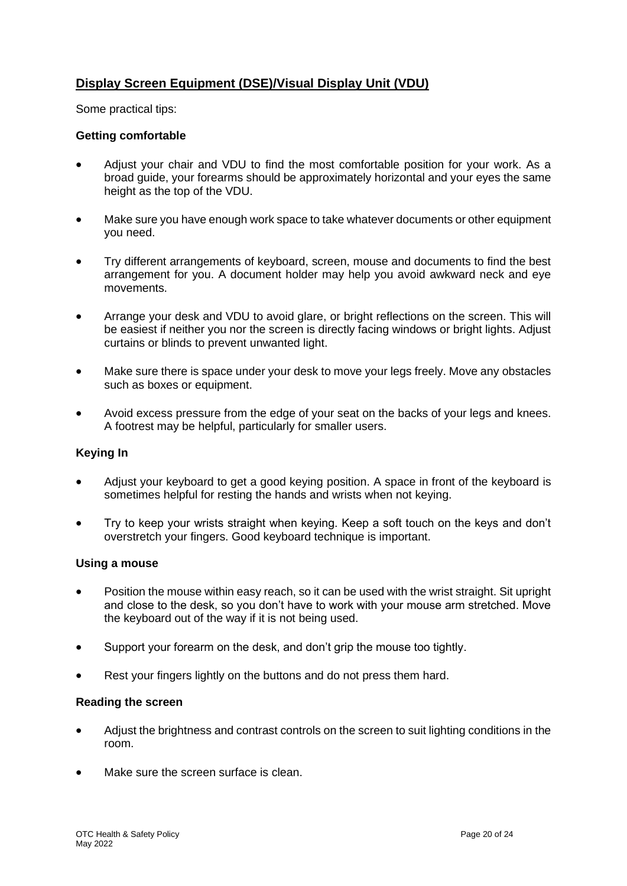## **Display Screen Equipment (DSE)/Visual Display Unit (VDU)**

Some practical tips:

#### **Getting comfortable**

- Adjust your chair and VDU to find the most comfortable position for your work. As a broad guide, your forearms should be approximately horizontal and your eyes the same height as the top of the VDU.
- Make sure you have enough work space to take whatever documents or other equipment you need.
- Try different arrangements of keyboard, screen, mouse and documents to find the best arrangement for you. A document holder may help you avoid awkward neck and eye movements.
- Arrange your desk and VDU to avoid glare, or bright reflections on the screen. This will be easiest if neither you nor the screen is directly facing windows or bright lights. Adjust curtains or blinds to prevent unwanted light.
- Make sure there is space under your desk to move your legs freely. Move any obstacles such as boxes or equipment.
- Avoid excess pressure from the edge of your seat on the backs of your legs and knees. A footrest may be helpful, particularly for smaller users.

#### **Keying In**

- Adjust your keyboard to get a good keying position. A space in front of the keyboard is sometimes helpful for resting the hands and wrists when not keying.
- Try to keep your wrists straight when keying. Keep a soft touch on the keys and don't overstretch your fingers. Good keyboard technique is important.

#### **Using a mouse**

- Position the mouse within easy reach, so it can be used with the wrist straight. Sit upright and close to the desk, so you don't have to work with your mouse arm stretched. Move the keyboard out of the way if it is not being used.
- Support your forearm on the desk, and don't grip the mouse too tightly.
- Rest your fingers lightly on the buttons and do not press them hard.

#### **Reading the screen**

- Adjust the brightness and contrast controls on the screen to suit lighting conditions in the room.
- Make sure the screen surface is clean.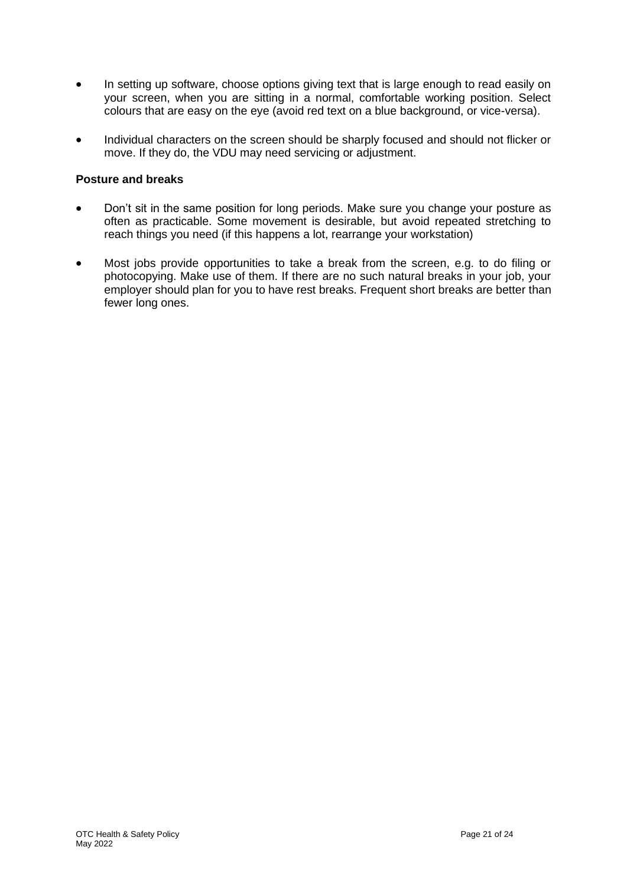- In setting up software, choose options giving text that is large enough to read easily on your screen, when you are sitting in a normal, comfortable working position. Select colours that are easy on the eye (avoid red text on a blue background, or vice-versa).
- Individual characters on the screen should be sharply focused and should not flicker or move. If they do, the VDU may need servicing or adjustment.

#### **Posture and breaks**

- Don't sit in the same position for long periods. Make sure you change your posture as often as practicable. Some movement is desirable, but avoid repeated stretching to reach things you need (if this happens a lot, rearrange your workstation)
- Most jobs provide opportunities to take a break from the screen, e.g. to do filing or photocopying. Make use of them. If there are no such natural breaks in your job, your employer should plan for you to have rest breaks. Frequent short breaks are better than fewer long ones.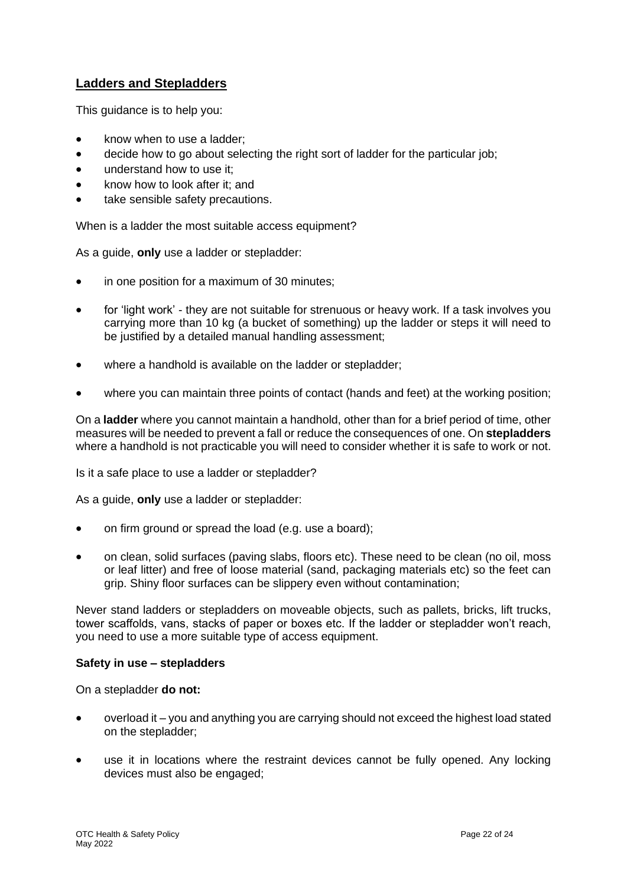## **Ladders and Stepladders**

This guidance is to help you:

- know when to use a ladder;
- decide how to go about selecting the right sort of ladder for the particular job;
- understand how to use it;
- know how to look after it; and
- take sensible safety precautions.

When is a ladder the most suitable access equipment?

As a guide, **only** use a ladder or stepladder:

- in one position for a maximum of 30 minutes;
- for 'light work' they are not suitable for strenuous or heavy work. If a task involves you carrying more than 10 kg (a bucket of something) up the ladder or steps it will need to be justified by a detailed manual handling assessment;
- where a handhold is available on the ladder or stepladder;
- where you can maintain three points of contact (hands and feet) at the working position;

On a **ladder** where you cannot maintain a handhold, other than for a brief period of time, other measures will be needed to prevent a fall or reduce the consequences of one. On **stepladders**  where a handhold is not practicable you will need to consider whether it is safe to work or not.

Is it a safe place to use a ladder or stepladder?

As a guide, **only** use a ladder or stepladder:

- on firm ground or spread the load (e.g. use a board);
- on clean, solid surfaces (paving slabs, floors etc). These need to be clean (no oil, moss or leaf litter) and free of loose material (sand, packaging materials etc) so the feet can grip. Shiny floor surfaces can be slippery even without contamination;

Never stand ladders or stepladders on moveable objects, such as pallets, bricks, lift trucks, tower scaffolds, vans, stacks of paper or boxes etc. If the ladder or stepladder won't reach, you need to use a more suitable type of access equipment.

#### **Safety in use – stepladders**

On a stepladder **do not:**

- overload it you and anything you are carrying should not exceed the highest load stated on the stepladder;
- use it in locations where the restraint devices cannot be fully opened. Any locking devices must also be engaged;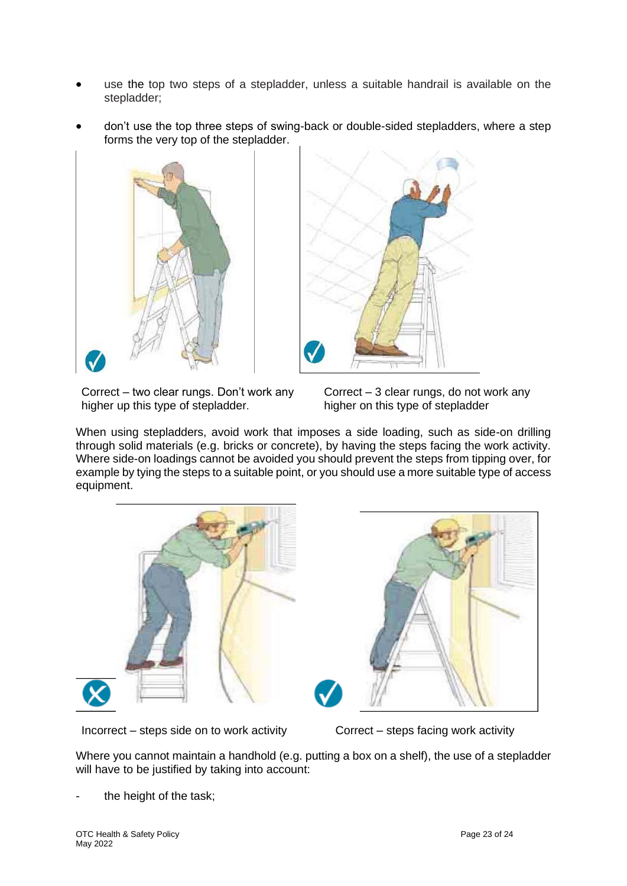- use the top two steps of a stepladder, unless a suitable handrail is available on the stepladder;
- don't use the top three steps of swing-back or double-sided stepladders, where a step forms the very top of the stepladder.





Correct – two clear rungs. Don't work any higher up this type of stepladder.

Correct – 3 clear rungs, do not work any higher on this type of stepladder

When using stepladders, avoid work that imposes a side loading, such as side-on drilling through solid materials (e.g. bricks or concrete), by having the steps facing the work activity. Where side-on loadings cannot be avoided you should prevent the steps from tipping over, for example by tying the steps to a suitable point, or you should use a more suitable type of access equipment.



Incorrect – steps side on to work activity Correct – steps facing work activity

Where you cannot maintain a handhold (e.g. putting a box on a shelf), the use of a stepladder will have to be justified by taking into account:

the height of the task;